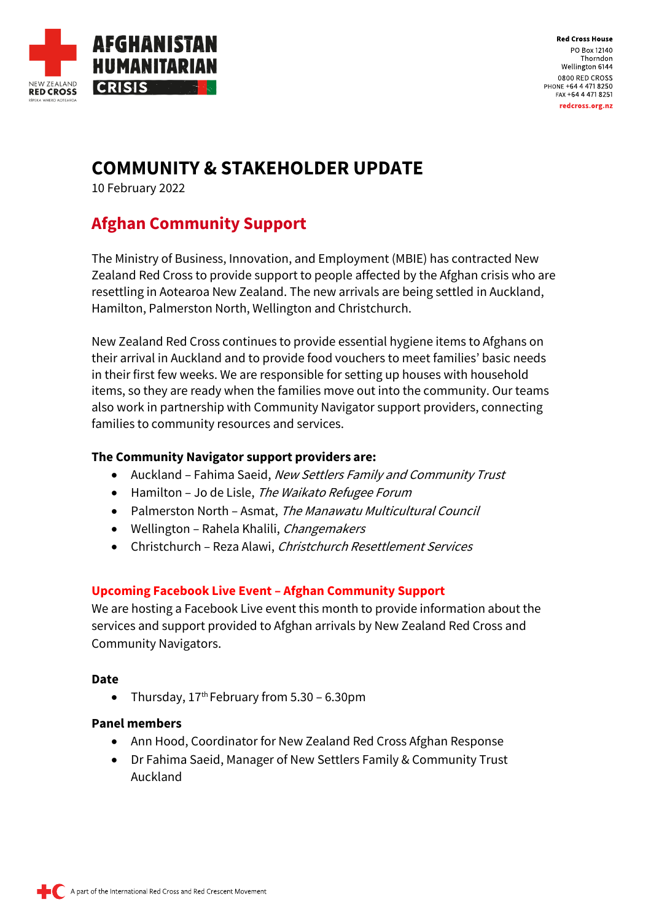

**Red Cross House** PO Box 12140 Thorndon Wellington 6144 0800 RED CROSS PHONE +64 4 471 8250 FAX +64 4 471 8251 redcross.org.nz

# **COMMUNITY & STAKEHOLDER UPDATE**

10 February 2022

# **Afghan Community Support**

The Ministry of Business, Innovation, and Employment (MBIE) has contracted New Zealand Red Cross to provide support to people affected by the Afghan crisis who are resettling in Aotearoa New Zealand. The new arrivals are being settled in Auckland, Hamilton, Palmerston North, Wellington and Christchurch.

New Zealand Red Cross continues to provide essential hygiene items to Afghans on their arrival in Auckland and to provide food vouchers to meet families' basic needs in their first few weeks. We are responsible for setting up houses with household items, so they are ready when the families move out into the community. Our teams also work in partnership with Community Navigator support providers, connecting families to community resources and services.

### **The Community Navigator support providers are:**

- Auckland Fahima Saeid, New Settlers Family and Community Trust
- Hamilton Jo de Lisle, The Waikato Refugee Forum
- Palmerston North Asmat, The Manawatu Multicultural Council
- Wellington Rahela Khalili, Changemakers
- Christchurch Reza Alawi, Christchurch Resettlement Services

### **Upcoming Facebook Live Event – Afghan Community Support**

We are hosting a Facebook Live event this month to provide information about the services and support provided to Afghan arrivals by New Zealand Red Cross and Community Navigators.

#### **Date**

• Thursday,  $17<sup>th</sup>$  February from 5.30 – 6.30pm

#### **Panel members**

- Ann Hood, Coordinator for New Zealand Red Cross Afghan Response
- Dr Fahima Saeid, Manager of New Settlers Family & Community Trust Auckland

A part of the International Red Cross and Red Crescent Movement